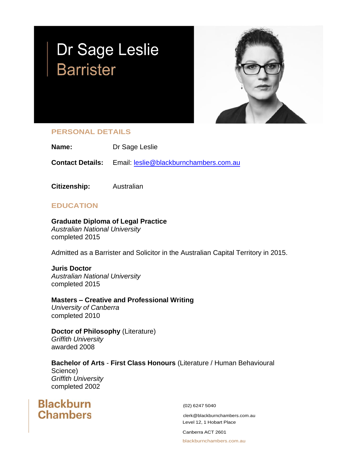# Dr Sage Leslie **Barrister**



## **PERSONAL DETAILS**

**Name:** Dr Sage Leslie

**Contact Details:** Email: [leslie@blackburnchambers.com.au](mailto:leslie@blackburnchambers.com.auu)

**Citizenship:** Australian

## **EDUCATION**

**Graduate Diploma of Legal Practice**

*Australian National University* completed 2015

Admitted as a Barrister and Solicitor in the Australian Capital Territory in 2015.

**Juris Doctor** *Australian National University* completed 2015

**Masters – Creative and Professional Writing** *University of Canberra* completed 2010

**Doctor of Philosophy** (Literature) *Griffith University* awarded 2008

**Bachelor of Arts** - **First Class Honours** (Literature / Human Behavioural Science) *Griffith University* completed 2002

**Blackburn Chambers** 

(02) 6247 5040

[clerk@blackburnchambers.com.au](mailto:clerk@blackburnchambers.com.au) Level 12, 1 Hobart Place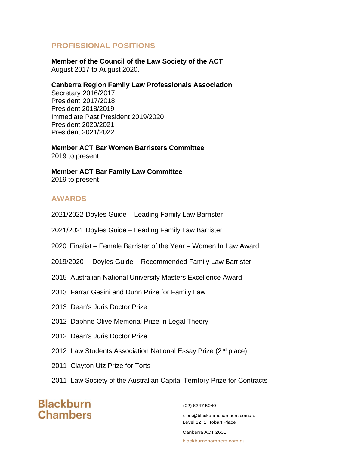#### **PROFISSIONAL POSITIONS**

**Member of the Council of the Law Society of the ACT** August 2017 to August 2020.

#### **Canberra Region Family Law Professionals Association**

Secretary 2016/2017 President 2017/2018 President 2018/2019 Immediate Past President 2019/2020 President 2020/2021 President 2021/2022

**Member ACT Bar Women Barristers Committee** 2019 to present

**Member ACT Bar Family Law Committee** 2019 to present

### **AWARDS**

2021/2022 Doyles Guide – Leading Family Law Barrister

2021/2021 Doyles Guide – Leading Family Law Barrister

2020 Finalist – Female Barrister of the Year – Women In Law Award

- 2019/2020 Doyles Guide Recommended Family Law Barrister
- 2015 Australian National University Masters Excellence Award
- 2013 Farrar Gesini and Dunn Prize for Family Law
- 2013 Dean's Juris Doctor Prize
- 2012 Daphne Olive Memorial Prize in Legal Theory
- 2012 Dean's Juris Doctor Prize
- 2012 Law Students Association National Essay Prize (2nd place)
- 2011 Clayton Utz Prize for Torts
- 2011 Law Society of the Australian Capital Territory Prize for Contracts

**Blackburn Chambers** 

(02) 6247 5040

[clerk@blackburnchambers.com.au](mailto:clerk@blackburnchambers.com.au) Level 12, 1 Hobart Place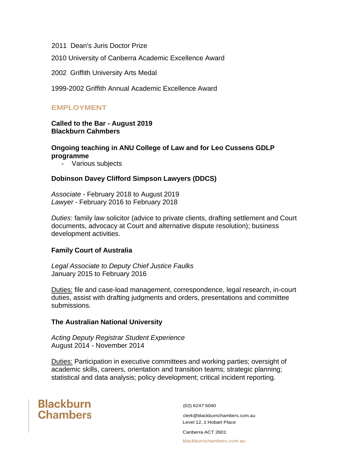2011 Dean's Juris Doctor Prize

2010 University of Canberra Academic Excellence Award

2002 Griffith University Arts Medal

1999-2002 Griffith Annual Academic Excellence Award

#### **EMPLOYMENT**

#### **Called to the Bar - August 2019 Blackburn Cahmbers**

#### **Ongoing teaching in ANU College of Law and for Leo Cussens GDLP programme**

- Various subjects

#### **Dobinson Davey Clifford Simpson Lawyers (DDCS)**

*Associate -* February 2018 to August 2019 *Lawyer -* February 2016 to February 2018

*Duties*: family law solicitor (advice to private clients, drafting settlement and Court documents, advocacy at Court and alternative dispute resolution); business development activities.

#### **Family Court of Australia**

*Legal Associate to Deputy Chief Justice Faulks* January 2015 to February 2016

Duties: file and case-load management, correspondence, legal research, in-court duties, assist with drafting judgments and orders, presentations and committee submissions.

#### **The Australian National University**

*Acting Deputy Registrar Student Experience* August 2014 - November 2014

Duties: Participation in executive committees and working parties; oversight of academic skills, careers, orientation and transition teams; strategic planning; statistical and data analysis; policy development; critical incident reporting.

# **Blackburn Chambers**

(02) 6247 5040

[clerk@blackburnchambers.com.au](mailto:clerk@blackburnchambers.com.au) Level 12, 1 Hobart Place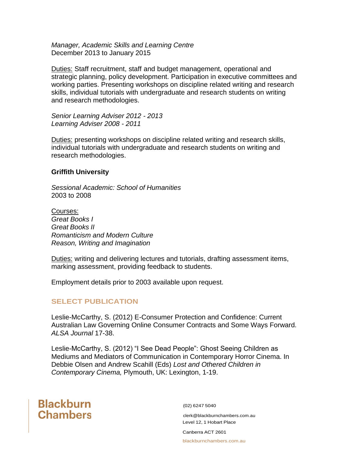*Manager, Academic Skills and Learning Centre* December 2013 to January 2015

Duties: Staff recruitment, staff and budget management, operational and strategic planning, policy development. Participation in executive committees and working parties. Presenting workshops on discipline related writing and research skills, individual tutorials with undergraduate and research students on writing and research methodologies.

*Senior Learning Adviser 2012 - 2013 Learning Adviser 2008 - 2011*

Duties: presenting workshops on discipline related writing and research skills, individual tutorials with undergraduate and research students on writing and research methodologies.

#### **Griffith University**

*Sessional Academic: School of Humanities* 2003 to 2008

Courses: *Great Books I Great Books II Romanticism and Modern Culture Reason, Writing and Imagination*

Duties: writing and delivering lectures and tutorials, drafting assessment items, marking assessment, providing feedback to students.

Employment details prior to 2003 available upon request.

## **SELECT PUBLICATION**

Leslie-McCarthy, S. (2012) E-Consumer Protection and Confidence: Current Australian Law Governing Online Consumer Contracts and Some Ways Forward. *ALSA Journal* 17-38.

Leslie-McCarthy, S. (2012) "I See Dead People": Ghost Seeing Children as Mediums and Mediators of Communication in Contemporary Horror Cinema. In Debbie Olsen and Andrew Scahill (Eds) *Lost and Othered Children in Contemporary Cinema,* Plymouth, UK: Lexington, 1-19.

# **Blackburn Chambers**

(02) 6247 5040

[clerk@blackburnchambers.com.au](mailto:clerk@blackburnchambers.com.au) Level 12, 1 Hobart Place